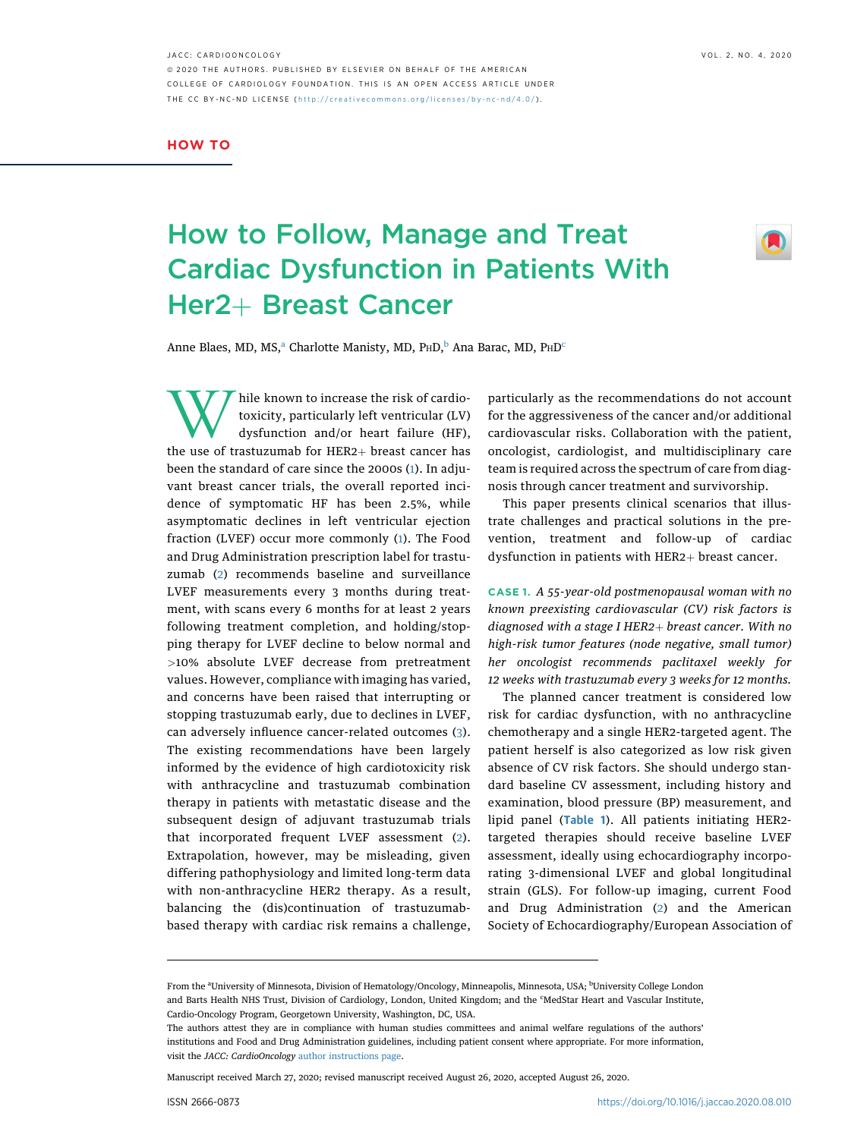JACC: CARDIOONCOLOGY VOL. 2, NO. 4, 2020 ª 2020 THE AUTHORS. PUBLISHED BY ELSEVIER ON BEHALF OF THE AMERICAN COLLEGE OF CARDIOLOGY FOUNDATION. THIS IS AN OPEN ACCESS ARTICLE UNDER THE CC BY-NC-ND LICENSE ( http://creativecommons.o [rg/licenses/by-nc-nd/4.0/](http://creativecommons.org/licenses/by-nc-nd/4.0/) ) .

## HOW TO

## How to Follow, Manage and Treat Cardiac Dysfunction in Patients With Her2+ Breast Cancer



Anne Bl[a](#page-0-0)es, MD, MS, $a^a$  Charlotte Manisty, MD, P<su[b](#page-0-0)>H</sub>D, $b^b$  Ana Bara[c](#page-0-1), MD, P<sub>H</sub>D<sup>c</sup>

While known to increase the risk of cardio-<br>toxicity, particularly left ventricular (LV)<br>dysfunction and/or heart failure (HF),<br>the use of trastuzumab for HER2+ breast cancer has toxicity, particularly left ventricular (LV) dysfunction and/or heart failure (HF), the use of trastuzumab for  $HER2+$  breast cancer has been the standard of care since the 2000s ([1](#page-3-0)). In adjuvant breast cancer trials, the overall reported incidence of symptomatic HF has been 2.5%, while asymptomatic declines in left ventricular ejection fraction (LVEF) occur more commonly ([1](#page-3-0)). The Food and Drug Administration prescription label for trastuzumab ([2](#page-3-1)) recommends baseline and surveillance LVEF measurements every 3 months during treatment, with scans every 6 months for at least 2 years following treatment completion, and holding/stopping therapy for LVEF decline to below normal and >10% absolute LVEF decrease from pretreatment values. However, compliance with imaging has varied, and concerns have been raised that interrupting or stopping trastuzumab early, due to declines in LVEF, can adversely influence cancer-related outcomes [\(3\)](#page-3-2). The existing recommendations have been largely informed by the evidence of high cardiotoxicity risk with anthracycline and trastuzumab combination therapy in patients with metastatic disease and the subsequent design of adjuvant trastuzumab trials that incorporated frequent LVEF assessment [\(2\)](#page-3-1). Extrapolation, however, may be misleading, given differing pathophysiology and limited long-term data with non-anthracycline HER2 therapy. As a result, balancing the (dis)continuation of trastuzumabbased therapy with cardiac risk remains a challenge,

particularly as the recommendations do not account for the aggressiveness of the cancer and/or additional cardiovascular risks. Collaboration with the patient, oncologist, cardiologist, and multidisciplinary care team is required across the spectrum of care from diagnosis through cancer treatment and survivorship.

This paper presents clinical scenarios that illustrate challenges and practical solutions in the prevention, treatment and follow-up of cardiac dysfunction in patients with  $HER2+$  breast cancer.

CASE 1. A 55-year-old postmenopausal woman with no known preexisting cardiovascular (CV) risk factors is diagnosed with a stage I HER2+ breast cancer. With no high-risk tumor features (node negative, small tumor) her oncologist recommends paclitaxel weekly for 12 weeks with trastuzumab every 3 weeks for 12 months.

The planned cancer treatment is considered low risk for cardiac dysfunction, with no anthracycline chemotherapy and a single HER2-targeted agent. The patient herself is also categorized as low risk given absence of CV risk factors. She should undergo standard baseline CV assessment, including history and examination, blood pressure (BP) measurement, and lipid panel ([Table 1](#page-1-0)). All patients initiating HER2targeted therapies should receive baseline LVEF assessment, ideally using echocardiography incorporating 3-dimensional LVEF and global longitudinal strain (GLS). For follow-up imaging, current Food and Drug Administration ([2\)](#page-3-1) and the American Society of Echocardiography/European Association of

Manuscript received March 27, 2020; revised manuscript received August 26, 2020, accepted August 26, 2020.

<span id="page-0-1"></span><span id="page-0-0"></span>From the <sup>a</sup>University of Minnesota, Division of Hematology/Oncology, Minneapolis, Minnesota, USA; <sup>b</sup>University College London and Barts Health NHS Trust, Division of Cardiology, London, United Kingdom; and the 'MedStar Heart and Vascular Institute, Cardio-Oncology Program, Georgetown University, Washington, DC, USA.

The authors attest they are in compliance with human studies committees and animal welfare regulations of the authors' institutions and Food and Drug Administration guidelines, including patient consent where appropriate. For more information, visit the JACC: CardioOncology [author instructions page.](https://www.jaccsubmit-cardiooncology.org/cgi-bin/main.plex?form_type=display_auth_instructions)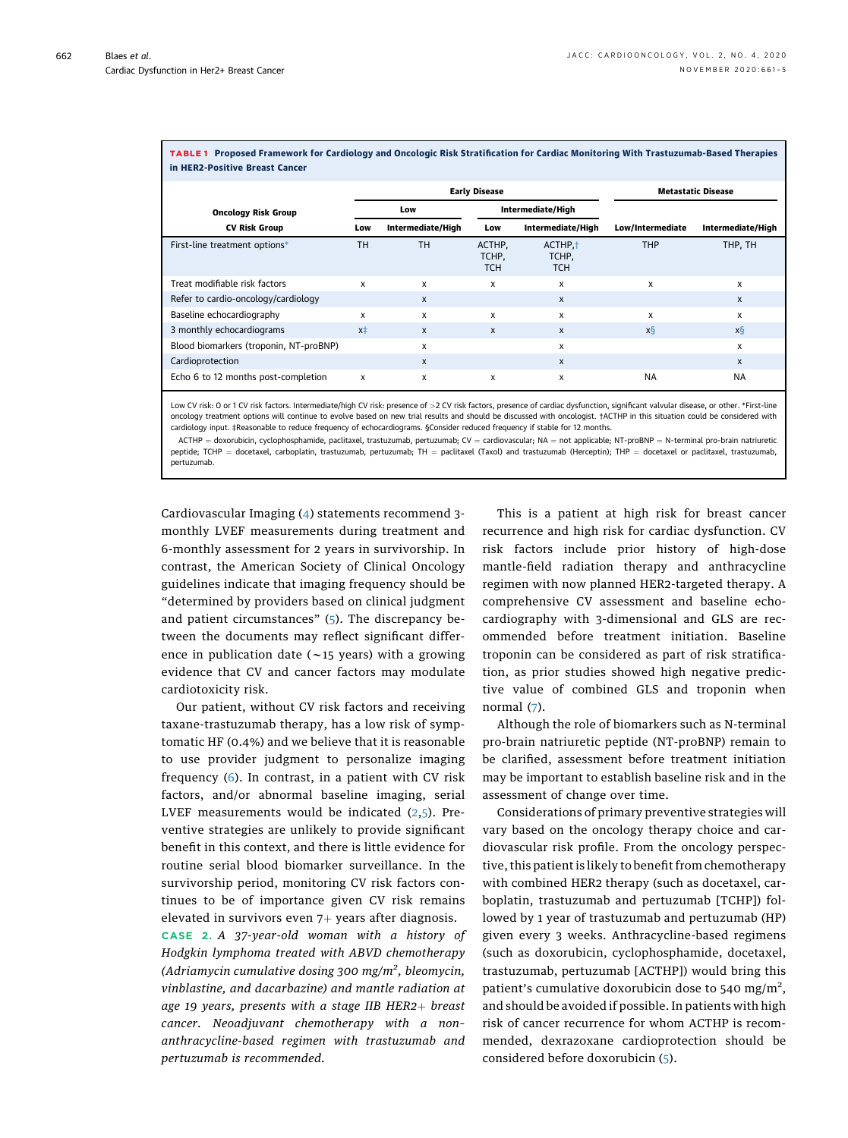| in HER2-Positive Breast Cancer         |                      |                   |                               |                                            |                  |                   |
|----------------------------------------|----------------------|-------------------|-------------------------------|--------------------------------------------|------------------|-------------------|
|                                        | <b>Early Disease</b> |                   |                               | <b>Metastatic Disease</b>                  |                  |                   |
| <b>Oncology Risk Group</b>             |                      | Low               |                               | Intermediate/High                          |                  |                   |
| <b>CV Risk Group</b>                   | Low                  | Intermediate/High | Low                           | Intermediate/High                          | Low/Intermediate | Intermediate/High |
| First-line treatment options*          | TH                   | TH.               | ACTHP,<br>TCHP,<br><b>TCH</b> | ACTHP. <sup>+</sup><br>TCHP,<br><b>TCH</b> | <b>THP</b>       | THP, TH           |
| Treat modifiable risk factors          | X                    | X                 | X                             | x                                          | X                | X                 |
| Refer to cardio-oncology/cardiology    |                      | $\mathsf{x}$      |                               | $\mathsf{x}$                               |                  | $\mathsf{x}$      |
| Baseline echocardiography              | x                    | X                 | $\mathsf{x}$                  | x                                          | X                | X                 |
| 3 monthly echocardiograms              | $x\pm$               | $\mathbf{x}$      | X                             | $\mathsf{x}$                               | x§               | x§                |
| Blood biomarkers (troponin, NT-proBNP) |                      | X                 |                               | x                                          |                  | x                 |
| Cardioprotection                       |                      | $\mathsf{x}$      |                               | $\mathsf{x}$                               |                  | $\mathsf{x}$      |
| Echo 6 to 12 months post-completion    | X                    | X                 | x                             | x                                          | <b>NA</b>        | <b>NA</b>         |

<span id="page-1-0"></span>TABLE 1 Proposed Framework for Cardiology and Oncologic Risk Stratification for Cardiac Monitoring With Trastuzumab-Based Therapies

<span id="page-1-2"></span><span id="page-1-1"></span>Low CV risk: 0 or 1 CV risk factors. Intermediate/high CV risk: presence of >2 CV risk factors, presence of cardiac dysfunction, significant valvular disease, or other. \*First-line oncology treatment options will continue to evolve based on new trial results and should be discussed with oncologist. †ACTHP in this situation could be considered with cardiology input. ‡Reasonable to reduce frequency of echocardiograms. §Consider reduced frequency if stable for 12 months.

<span id="page-1-3"></span>ACTHP = doxorubicin, cyclophosphamide, paclitaxel, trastuzumab, pertuzumab; CV = cardiovascular; NA = not applicable; NT-proBNP = N-terminal pro-brain natriuretic peptide; TCHP = docetaxel, carboplatin, trastuzumab, pertuzumab; TH = paclitaxel (Taxol) and trastuzumab (Herceptin); THP = docetaxel or paclitaxel, trastuzumab, pertuzumab.

Cardiovascular Imaging ([4\)](#page-3-3) statements recommend 3 monthly LVEF measurements during treatment and 6-monthly assessment for 2 years in survivorship. In contrast, the American Society of Clinical Oncology guidelines indicate that imaging frequency should be "determined by providers based on clinical judgment and patient circumstances" ([5](#page-3-4)). The discrepancy between the documents may reflect significant difference in publication date ( $\sim$ 15 years) with a growing evidence that CV and cancer factors may modulate cardiotoxicity risk.

Our patient, without CV risk factors and receiving taxane-trastuzumab therapy, has a low risk of symptomatic HF (0.4%) and we believe that it is reasonable to use provider judgment to personalize imaging frequency ([6\)](#page-3-5). In contrast, in a patient with CV risk factors, and/or abnormal baseline imaging, serial LVEF measurements would be indicated ([2](#page-3-1),[5](#page-3-4)). Preventive strategies are unlikely to provide significant benefit in this context, and there is little evidence for routine serial blood biomarker surveillance. In the survivorship period, monitoring CV risk factors continues to be of importance given CV risk remains elevated in survivors even  $7+$  years after diagnosis.

CASE 2. A 37-year-old woman with a history of Hodgkin lymphoma treated with ABVD chemotherapy (Adriamycin cumulative dosing 300 mg/m<sup>2</sup>, bleomycin, vinblastine, and dacarbazine) and mantle radiation at age 19 years, presents with a stage IIB  $HER2+$  breast cancer. Neoadjuvant chemotherapy with a non– anthracycline-based regimen with trastuzumab and pertuzumab is recommended.

This is a patient at high risk for breast cancer recurrence and high risk for cardiac dysfunction. CV risk factors include prior history of high-dose mantle-field radiation therapy and anthracycline regimen with now planned HER2-targeted therapy. A comprehensive CV assessment and baseline echocardiography with 3-dimensional and GLS are recommended before treatment initiation. Baseline troponin can be considered as part of risk stratification, as prior studies showed high negative predictive value of combined GLS and troponin when normal [\(7](#page-4-0)).

Although the role of biomarkers such as N-terminal pro-brain natriuretic peptide (NT-proBNP) remain to be clarified, assessment before treatment initiation may be important to establish baseline risk and in the assessment of change over time.

Considerations of primary preventive strategies will vary based on the oncology therapy choice and cardiovascular risk profile. From the oncology perspective, this patient is likely to benefit from chemotherapy with combined HER2 therapy (such as docetaxel, carboplatin, trastuzumab and pertuzumab [TCHP]) followed by 1 year of trastuzumab and pertuzumab (HP) given every 3 weeks. Anthracycline-based regimens (such as doxorubicin, cyclophosphamide, docetaxel, trastuzumab, pertuzumab [ACTHP]) would bring this patient's cumulative doxorubicin dose to 540 mg/m<sup>2</sup>, and should be avoided if possible. In patients with high risk of cancer recurrence for whom ACTHP is recommended, dexrazoxane cardioprotection should be considered before doxorubicin ([5\)](#page-3-4).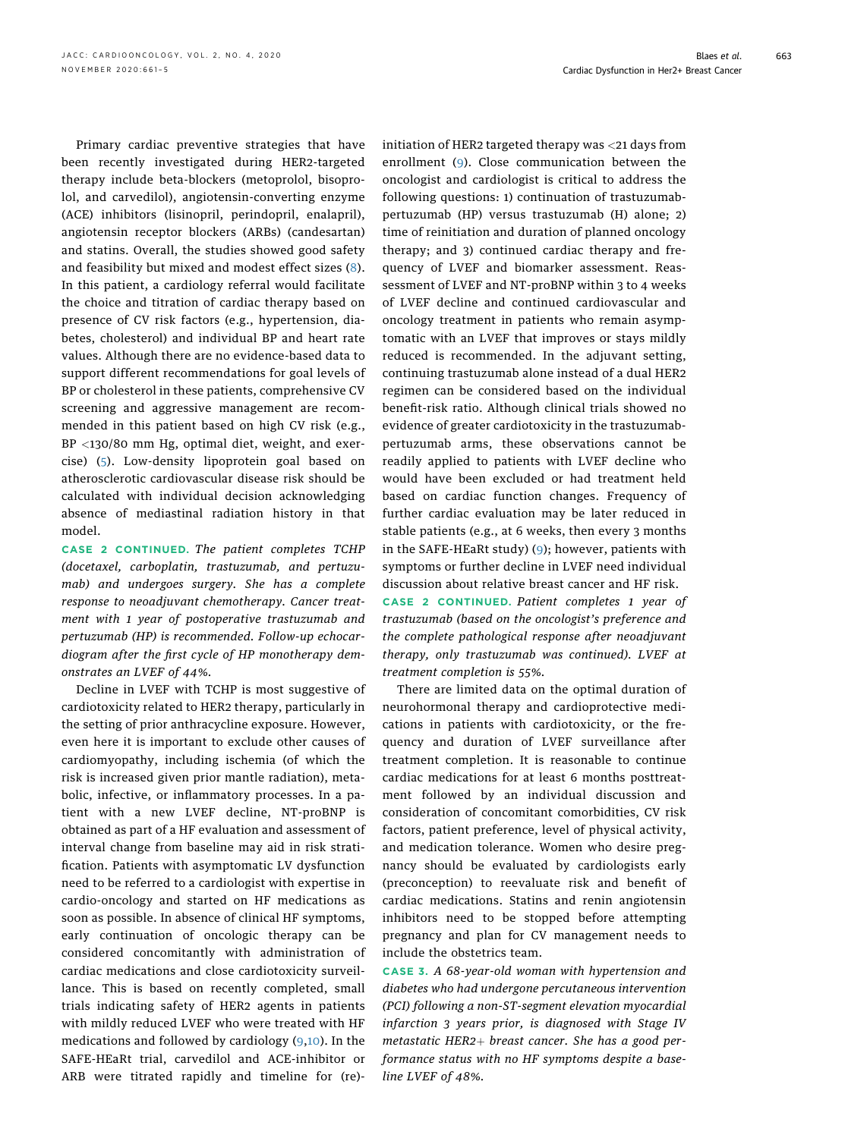Primary cardiac preventive strategies that have been recently investigated during HER2-targeted therapy include beta-blockers (metoprolol, bisoprolol, and carvedilol), angiotensin-converting enzyme (ACE) inhibitors (lisinopril, perindopril, enalapril), angiotensin receptor blockers (ARBs) (candesartan) and statins. Overall, the studies showed good safety and feasibility but mixed and modest effect sizes ([8\)](#page-4-1). In this patient, a cardiology referral would facilitate the choice and titration of cardiac therapy based on presence of CV risk factors (e.g., hypertension, diabetes, cholesterol) and individual BP and heart rate values. Although there are no evidence-based data to support different recommendations for goal levels of BP or cholesterol in these patients, comprehensive CV screening and aggressive management are recommended in this patient based on high CV risk (e.g., BP <130/80 mm Hg, optimal diet, weight, and exercise) [\(5\)](#page-3-4). Low-density lipoprotein goal based on atherosclerotic cardiovascular disease risk should be calculated with individual decision acknowledging absence of mediastinal radiation history in that model.

CASE 2 CONTINUED. The patient completes TCHP (docetaxel, carboplatin, trastuzumab, and pertuzumab) and undergoes surgery. She has a complete response to neoadjuvant chemotherapy. Cancer treatment with 1 year of postoperative trastuzumab and pertuzumab (HP) is recommended. Follow-up echocardiogram after the first cycle of HP monotherapy demonstrates an LVEF of 44%.

Decline in LVEF with TCHP is most suggestive of cardiotoxicity related to HER2 therapy, particularly in the setting of prior anthracycline exposure. However, even here it is important to exclude other causes of cardiomyopathy, including ischemia (of which the risk is increased given prior mantle radiation), metabolic, infective, or inflammatory processes. In a patient with a new LVEF decline, NT-proBNP is obtained as part of a HF evaluation and assessment of interval change from baseline may aid in risk stratification. Patients with asymptomatic LV dysfunction need to be referred to a cardiologist with expertise in cardio-oncology and started on HF medications as soon as possible. In absence of clinical HF symptoms, early continuation of oncologic therapy can be considered concomitantly with administration of cardiac medications and close cardiotoxicity surveillance. This is based on recently completed, small trials indicating safety of HER2 agents in patients with mildly reduced LVEF who were treated with HF medications and followed by cardiology ([9](#page-4-2),[10\)](#page-4-3). In the SAFE-HEaRt trial, carvedilol and ACE-inhibitor or ARB were titrated rapidly and timeline for (re)- initiation of HER2 targeted therapy was <21 days from enrollment ([9](#page-4-2)). Close communication between the oncologist and cardiologist is critical to address the following questions: 1) continuation of trastuzumabpertuzumab (HP) versus trastuzumab (H) alone; 2) time of reinitiation and duration of planned oncology therapy; and 3) continued cardiac therapy and frequency of LVEF and biomarker assessment. Reassessment of LVEF and NT-proBNP within 3 to 4 weeks of LVEF decline and continued cardiovascular and oncology treatment in patients who remain asymptomatic with an LVEF that improves or stays mildly reduced is recommended. In the adjuvant setting, continuing trastuzumab alone instead of a dual HER2 regimen can be considered based on the individual benefit-risk ratio. Although clinical trials showed no evidence of greater cardiotoxicity in the trastuzumabpertuzumab arms, these observations cannot be readily applied to patients with LVEF decline who would have been excluded or had treatment held based on cardiac function changes. Frequency of further cardiac evaluation may be later reduced in stable patients (e.g., at 6 weeks, then every 3 months in the SAFE-HEaRt study) ([9](#page-4-2)); however, patients with symptoms or further decline in LVEF need individual discussion about relative breast cancer and HF risk.

CASE 2 CONTINUED. Patient completes 1 year of trastuzumab (based on the oncologist's preference and the complete pathological response after neoadjuvant therapy, only trastuzumab was continued). LVEF at treatment completion is 55%.

There are limited data on the optimal duration of neurohormonal therapy and cardioprotective medications in patients with cardiotoxicity, or the frequency and duration of LVEF surveillance after treatment completion. It is reasonable to continue cardiac medications for at least 6 months posttreatment followed by an individual discussion and consideration of concomitant comorbidities, CV risk factors, patient preference, level of physical activity, and medication tolerance. Women who desire pregnancy should be evaluated by cardiologists early (preconception) to reevaluate risk and benefit of cardiac medications. Statins and renin angiotensin inhibitors need to be stopped before attempting pregnancy and plan for CV management needs to include the obstetrics team.

CASE 3. A 68-year-old woman with hypertension and diabetes who had undergone percutaneous intervention (PCI) following a non-ST-segment elevation myocardial infarction 3 years prior, is diagnosed with Stage IV metastatic HER2+ breast cancer. She has a good performance status with no HF symptoms despite a baseline LVEF of 48%.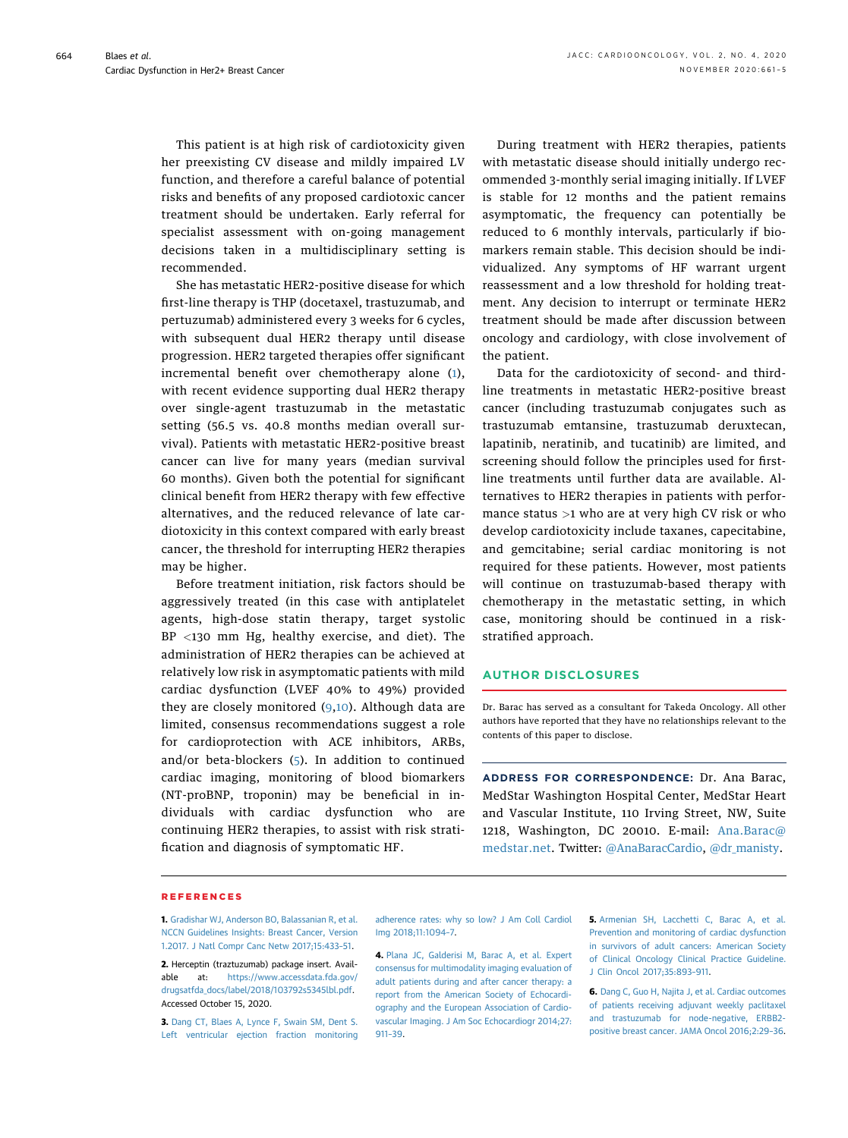This patient is at high risk of cardiotoxicity given her preexisting CV disease and mildly impaired LV function, and therefore a careful balance of potential risks and benefits of any proposed cardiotoxic cancer treatment should be undertaken. Early referral for specialist assessment with on-going management decisions taken in a multidisciplinary setting is recommended.

She has metastatic HER2-positive disease for which first-line therapy is THP (docetaxel, trastuzumab, and pertuzumab) administered every 3 weeks for 6 cycles, with subsequent dual HER2 therapy until disease progression. HER2 targeted therapies offer significant incremental benefit over chemotherapy alone ([1\)](#page-3-0), with recent evidence supporting dual HER2 therapy over single-agent trastuzumab in the metastatic setting (56.5 vs. 40.8 months median overall survival). Patients with metastatic HER2-positive breast cancer can live for many years (median survival 60 months). Given both the potential for significant clinical benefit from HER2 therapy with few effective alternatives, and the reduced relevance of late cardiotoxicity in this context compared with early breast cancer, the threshold for interrupting HER2 therapies may be higher.

Before treatment initiation, risk factors should be aggressively treated (in this case with antiplatelet agents, high-dose statin therapy, target systolic BP <130 mm Hg, healthy exercise, and diet). The administration of HER2 therapies can be achieved at relatively low risk in asymptomatic patients with mild cardiac dysfunction (LVEF 40% to 49%) provided they are closely monitored ([9](#page-4-2)[,10](#page-4-3)). Although data are limited, consensus recommendations suggest a role for cardioprotection with ACE inhibitors, ARBs, and/or beta-blockers ([5\)](#page-3-4). In addition to continued cardiac imaging, monitoring of blood biomarkers (NT-proBNP, troponin) may be beneficial in individuals with cardiac dysfunction who are continuing HER2 therapies, to assist with risk stratification and diagnosis of symptomatic HF.

During treatment with HER2 therapies, patients with metastatic disease should initially undergo recommended 3-monthly serial imaging initially. If LVEF is stable for 12 months and the patient remains asymptomatic, the frequency can potentially be reduced to 6 monthly intervals, particularly if biomarkers remain stable. This decision should be individualized. Any symptoms of HF warrant urgent reassessment and a low threshold for holding treatment. Any decision to interrupt or terminate HER2 treatment should be made after discussion between oncology and cardiology, with close involvement of the patient.

Data for the cardiotoxicity of second- and thirdline treatments in metastatic HER2-positive breast cancer (including trastuzumab conjugates such as trastuzumab emtansine, trastuzumab deruxtecan, lapatinib, neratinib, and tucatinib) are limited, and screening should follow the principles used for firstline treatments until further data are available. Alternatives to HER2 therapies in patients with performance status >1 who are at very high CV risk or who develop cardiotoxicity include taxanes, capecitabine, and gemcitabine; serial cardiac monitoring is not required for these patients. However, most patients will continue on trastuzumab-based therapy with chemotherapy in the metastatic setting, in which case, monitoring should be continued in a riskstratified approach.

## AUTHOR DISCLOSURES

Dr. Barac has served as a consultant for Takeda Oncology. All other authors have reported that they have no relationships relevant to the contents of this paper to disclose.

ADDRESS FOR CORRESPONDENCE: Dr. Ana Barac, MedStar Washington Hospital Center, MedStar Heart and Vascular Institute, 110 Irving Street, NW, Suite 1218, Washington, DC 20010. E-mail: [Ana.Barac@](mailto:Ana.Barac@medstar.net) [medstar.net.](mailto:Ana.Barac@medstar.net) Twitter: [@AnaBaracCardio](https://twitter.com/AnaBaracCardio), [@dr\\_manisty.](https://twitter.com/dr_manisty)

## REFERENCES

<span id="page-3-0"></span>1. [Gradishar WJ, Anderson BO, Balassanian R, et al.](http://refhub.elsevier.com/S2666-0873(20)30220-9/sref1) [NCCN Guidelines Insights: Breast Cancer, Version](http://refhub.elsevier.com/S2666-0873(20)30220-9/sref1) [1.2017. J Natl Compr Canc Netw 2017;15:433](http://refhub.elsevier.com/S2666-0873(20)30220-9/sref1)–51.

<span id="page-3-1"></span>2. Herceptin (traztuzumab) package insert. Available at: [https://www.accessdata.fda.gov/](https://www.accessdata.fda.gov/drugsatfda_docs/label/2018/103792s5345lbl.pdf) [drugsatfda\\_docs/label/2018/103792s5345lbl.pdf](https://www.accessdata.fda.gov/drugsatfda_docs/label/2018/103792s5345lbl.pdf). Accessed October 15, 2020.

<span id="page-3-2"></span>3. [Dang CT, Blaes A, Lynce F, Swain SM, Dent S.](http://refhub.elsevier.com/S2666-0873(20)30220-9/sref3) [Left ventricular ejection fraction monitoring](http://refhub.elsevier.com/S2666-0873(20)30220-9/sref3)

[adherence rates: why so low? J Am Coll Cardiol](http://refhub.elsevier.com/S2666-0873(20)30220-9/sref3) [Img 2018;11:1094](http://refhub.elsevier.com/S2666-0873(20)30220-9/sref3)–7.

<span id="page-3-3"></span>4. [Plana JC, Galderisi M, Barac A, et al. Expert](http://refhub.elsevier.com/S2666-0873(20)30220-9/sref4) [consensus for multimodality imaging evaluation of](http://refhub.elsevier.com/S2666-0873(20)30220-9/sref4) [adult patients during and after cancer therapy: a](http://refhub.elsevier.com/S2666-0873(20)30220-9/sref4) [report from the American Society of Echocardi](http://refhub.elsevier.com/S2666-0873(20)30220-9/sref4)[ography and the European Association of Cardio](http://refhub.elsevier.com/S2666-0873(20)30220-9/sref4)[vascular Imaging. J Am Soc Echocardiogr 2014;27:](http://refhub.elsevier.com/S2666-0873(20)30220-9/sref4) [911](http://refhub.elsevier.com/S2666-0873(20)30220-9/sref4)–39.

<span id="page-3-4"></span>5. [Armenian SH, Lacchetti C, Barac A, et al.](http://refhub.elsevier.com/S2666-0873(20)30220-9/sref5) [Prevention and monitoring of cardiac dysfunction](http://refhub.elsevier.com/S2666-0873(20)30220-9/sref5) [in survivors of adult cancers: American Society](http://refhub.elsevier.com/S2666-0873(20)30220-9/sref5) [of Clinical Oncology Clinical Practice Guideline.](http://refhub.elsevier.com/S2666-0873(20)30220-9/sref5) [J Clin Oncol 2017;35:893](http://refhub.elsevier.com/S2666-0873(20)30220-9/sref5)–911.

<span id="page-3-5"></span>6. [Dang C, Guo H, Najita J, et al. Cardiac outcomes](http://refhub.elsevier.com/S2666-0873(20)30220-9/sref6) [of patients receiving adjuvant weekly paclitaxel](http://refhub.elsevier.com/S2666-0873(20)30220-9/sref6) [and trastuzumab for node-negative, ERBB2](http://refhub.elsevier.com/S2666-0873(20)30220-9/sref6) [positive breast cancer. JAMA Oncol 2016;2:29](http://refhub.elsevier.com/S2666-0873(20)30220-9/sref6)–36.